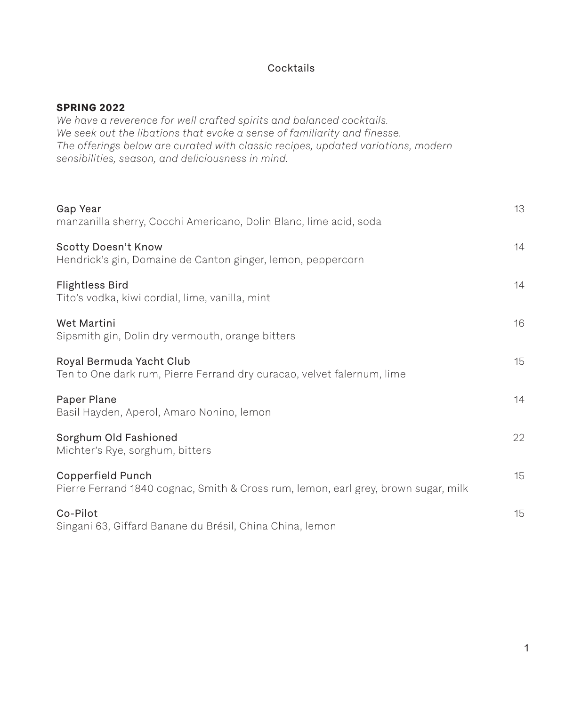Cocktails

L.

| <b>SPRING 2022</b><br>We have a reverence for well crafted spirits and balanced cocktails.<br>We seek out the libations that evoke a sense of familiarity and finesse.<br>The offerings below are curated with classic recipes, updated variations, modern<br>sensibilities, season, and deliciousness in mind. |    |
|-----------------------------------------------------------------------------------------------------------------------------------------------------------------------------------------------------------------------------------------------------------------------------------------------------------------|----|
| Gap Year<br>manzanilla sherry, Cocchi Americano, Dolin Blanc, lime acid, soda                                                                                                                                                                                                                                   | 13 |
| Scotty Doesn't Know<br>Hendrick's gin, Domaine de Canton ginger, lemon, peppercorn                                                                                                                                                                                                                              | 14 |
| <b>Flightless Bird</b><br>Tito's vodka, kiwi cordial, lime, vanilla, mint                                                                                                                                                                                                                                       | 14 |
| Wet Martini<br>Sipsmith gin, Dolin dry vermouth, orange bitters                                                                                                                                                                                                                                                 | 16 |
| Royal Bermuda Yacht Club<br>Ten to One dark rum, Pierre Ferrand dry curacao, velvet falernum, lime                                                                                                                                                                                                              | 15 |
| Paper Plane<br>Basil Hayden, Aperol, Amaro Nonino, lemon                                                                                                                                                                                                                                                        | 14 |
| Sorghum Old Fashioned<br>Michter's Rye, sorghum, bitters                                                                                                                                                                                                                                                        | 22 |
| Copperfield Punch<br>Pierre Ferrand 1840 cognac, Smith & Cross rum, lemon, earl grey, brown sugar, milk                                                                                                                                                                                                         | 15 |
| Co-Pilot<br>Singani 63, Giffard Banane du Brésil, China China, lemon                                                                                                                                                                                                                                            | 15 |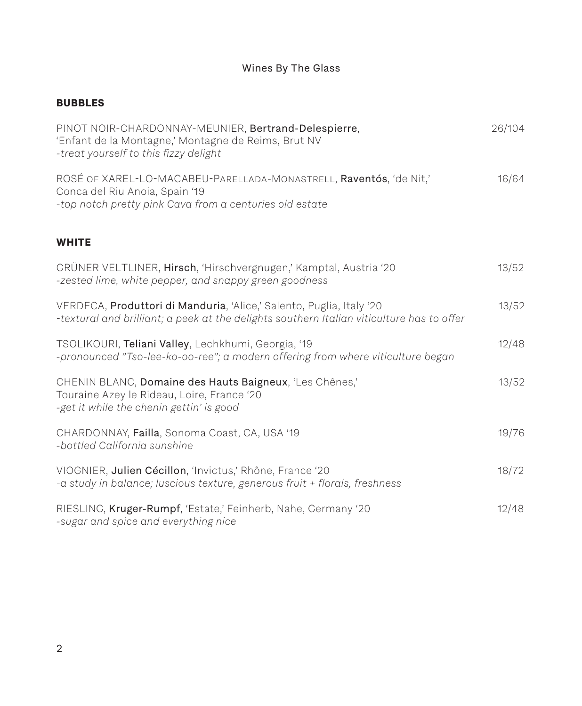| <b>BUBBLES</b>                                                                                                                                                    |        |
|-------------------------------------------------------------------------------------------------------------------------------------------------------------------|--------|
| PINOT NOIR-CHARDONNAY-MEUNIER, Bertrand-Delespierre,<br>'Enfant de la Montagne,' Montagne de Reims, Brut NV<br>-treat yourself to this fizzy delight              | 26/104 |
| ROSÉ OF XAREL-LO-MACABEU-PARELLADA-MONASTRELL, Raventós, 'de Nit,'<br>Conca del Riu Anoia, Spain '19<br>-top notch pretty pink Cava from a centuries old estate   | 16/64  |
| <b>WHITE</b>                                                                                                                                                      |        |
| GRÜNER VELTLINER, Hirsch, 'Hirschvergnugen,' Kamptal, Austria '20<br>-zested lime, white pepper, and snappy green goodness                                        | 13/52  |
| VERDECA, Produttori di Manduria, 'Alice,' Salento, Puglia, Italy '20<br>-textural and brilliant; a peek at the delights southern Italian viticulture has to offer | 13/52  |
| TSOLIKOURI, Teliani Valley, Lechkhumi, Georgia, '19<br>-pronounced "Tso-lee-ko-oo-ree"; a modern offering from where viticulture began                            | 12/48  |
| CHENIN BLANC, Domaine des Hauts Baigneux, 'Les Chênes,'<br>Touraine Azey le Rideau, Loire, France '20<br>-get it while the chenin gettin' is good                 | 13/52  |
| CHARDONNAY, Failla, Sonoma Coast, CA, USA '19<br>-bottled California sunshine                                                                                     | 19/76  |
| VIOGNIER, Julien Cécillon, 'Invictus,' Rhône, France '20<br>-a study in balance; luscious texture, generous fruit + florals, freshness                            | 18/72  |
| RIESLING, Kruger-Rumpf, 'Estate,' Feinherb, Nahe, Germany '20<br>-sugar and spice and everything nice                                                             | 12/48  |

Wines By The Glass

L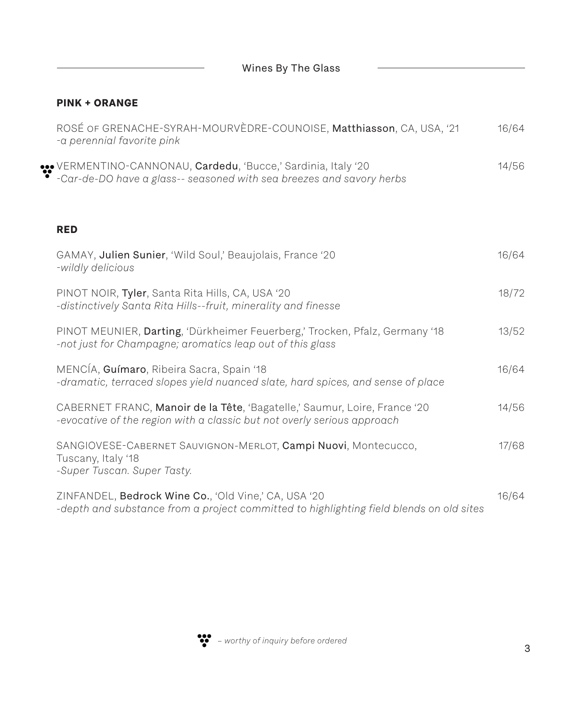Wines By The Glass

#### **PINK + ORANGE**

| ROSÉ OF GRENACHE-SYRAH-MOURVÈDRE-COUNOISE, Matthiasson, CA, USA, '21<br>-a perennial favorite pink                                                   | 16/64 |
|------------------------------------------------------------------------------------------------------------------------------------------------------|-------|
| VERMENTINO-CANNONAU, Cardedu, 'Bucce,' Sardinia, Italy '20<br>-Car-de-DO have a glass-- seasoned with sea breezes and savory herbs                   | 14/56 |
| <b>RED</b>                                                                                                                                           |       |
| GAMAY, Julien Sunier, 'Wild Soul,' Beaujolais, France '20<br>-wildly delicious                                                                       | 16/64 |
| PINOT NOIR, Tyler, Santa Rita Hills, CA, USA '20<br>-distinctively Santa Rita Hills--fruit, minerality and finesse                                   | 18/72 |
| PINOT MEUNIER, Darting, 'Dürkheimer Feuerberg,' Trocken, Pfalz, Germany '18<br>-not just for Champagne; aromatics leap out of this glass             | 13/52 |
| MENCÍA, Guímaro, Ribeira Sacra, Spain '18<br>-dramatic, terraced slopes yield nuanced slate, hard spices, and sense of place                         | 16/64 |
| CABERNET FRANC, Manoir de la Tête, 'Bagatelle,' Saumur, Loire, France '20<br>-evocative of the region with a classic but not overly serious approach | 14/56 |
| SANGIOVESE-CABERNET SAUVIGNON-MERLOT, Campi Nuovi, Montecucco,<br>Tuscany, Italy '18<br>-Super Tuscan. Super Tasty.                                  | 17/68 |
| ZINFANDEL, Bedrock Wine Co., 'Old Vine,' CA, USA '20                                                                                                 | 16/64 |

*-depth and substance from a project committed to highlighting field blends on old sites*

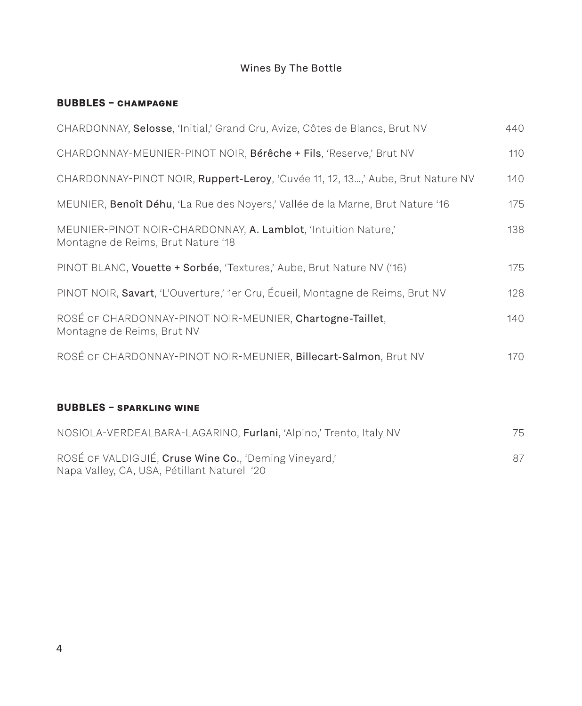$\overline{\phantom{a}}$ 

#### **BUBBLES – champagne**

| CHARDONNAY, Selosse, 'Initial,' Grand Cru, Avize, Côtes de Blancs, Brut NV                           | 440 |
|------------------------------------------------------------------------------------------------------|-----|
| CHARDONNAY-MEUNIER-PINOT NOIR, Bérêche + Fils, 'Reserve,' Brut NV                                    | 110 |
| CHARDONNAY-PINOT NOIR, Ruppert-Leroy, 'Cuvée 11, 12, 13,' Aube, Brut Nature NV                       | 140 |
| MEUNIER, Benoît Déhu, 'La Rue des Noyers,' Vallée de la Marne, Brut Nature '16                       | 175 |
| MEUNIER-PINOT NOIR-CHARDONNAY, A. Lamblot, 'Intuition Nature,'<br>Montagne de Reims, Brut Nature '18 | 138 |
| PINOT BLANC, Vouette + Sorbée, 'Textures,' Aube, Brut Nature NV ('16)                                | 175 |
| PINOT NOIR, Savart, 'L'Ouverture,' 1er Cru, Écueil, Montagne de Reims, Brut NV                       | 128 |
| ROSÉ OF CHARDONNAY-PINOT NOIR-MEUNIER, Chartogne-Taillet,<br>Montagne de Reims, Brut NV              | 140 |
| ROSÉ OF CHARDONNAY-PINOT NOIR-MEUNIER, Billecart-Salmon, Brut NV                                     | 170 |
|                                                                                                      |     |
| <b>BUBBLES - SPARKLING WINE</b>                                                                      |     |
| NOSIOLA-VERDEALBARA-LAGARINO, Furlani, 'Alpino,' Trento, Italy NV                                    | 75  |

| ROSÉ OF VALDIGUIÉ, Cruse Wine Co., 'Deming Vineyard,' |  |
|-------------------------------------------------------|--|
| Napa Valley, CA, USA, Pétillant Naturel '20           |  |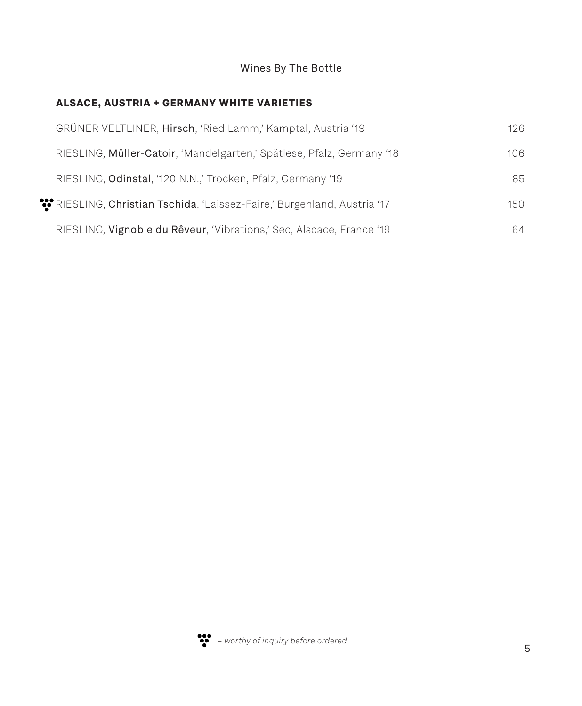# **ALSACE, AUSTRIA + GERMANY WHITE VARIETIES**

| GRÜNER VELTLINER, Hirsch, 'Ried Lamm,' Kamptal, Austria '19           | 126. |
|-----------------------------------------------------------------------|------|
| RIESLING, Müller-Catoir, 'Mandelgarten,' Spätlese, Pfalz, Germany '18 | 106. |
| RIESLING, Odinstal, '120 N.N.,' Trocken, Pfalz, Germany '19           | 85   |
| RIESLING, Christian Tschida, 'Laissez-Faire,' Burgenland, Austria '17 | 150  |
| RIESLING, Vignoble du Rêveur, 'Vibrations,' Sec, Alscace, France '19  | 64.  |

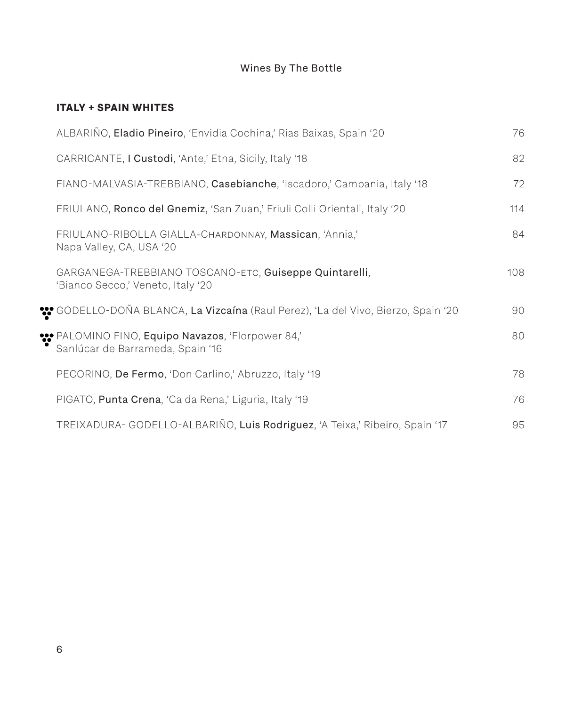### **ITALY + SPAIN WHITES**

<u> 1980 - Johann Barbara, martin basa</u>

| ALBARIÑO, Eladio Pineiro, 'Envidia Cochina,' Rias Baixas, Spain '20                         | 76  |
|---------------------------------------------------------------------------------------------|-----|
| CARRICANTE, I Custodi, 'Ante,' Etna, Sicily, Italy '18                                      | 82  |
| FIANO-MALVASIA-TREBBIANO, Casebianche, 'Iscadoro,' Campania, Italy '18                      | 72  |
| FRIULANO, Ronco del Gnemiz, 'San Zuan,' Friuli Colli Orientali, Italy '20                   | 114 |
| FRIULANO-RIBOLLA GIALLA-CHARDONNAY, Massican, 'Annia,'<br>Napa Valley, CA, USA '20          | 84  |
| GARGANEGA-TREBBIANO TOSCANO-ETC, Guiseppe Quintarelli,<br>'Bianco Secco,' Veneto, Italy '20 | 108 |
| ** GODELLO-DOÑA BLANCA, La Vizcaína (Raul Perez), 'La del Vivo, Bierzo, Spain '20           | 90  |
| WEBLOMINO FINO, Equipo Navazos, 'Florpower 84,'<br>Sanlúcar de Barrameda, Spain '16         | 80  |
| PECORINO, De Fermo, 'Don Carlino,' Abruzzo, Italy '19                                       | 78  |
| PIGATO, Punta Crena, 'Ca da Rena,' Liguria, Italy '19                                       | 76  |
| TREIXADURA- GODELLO-ALBARIÑO, Luis Rodriguez, 'A Teixa,' Ribeiro, Spain '17                 | 95  |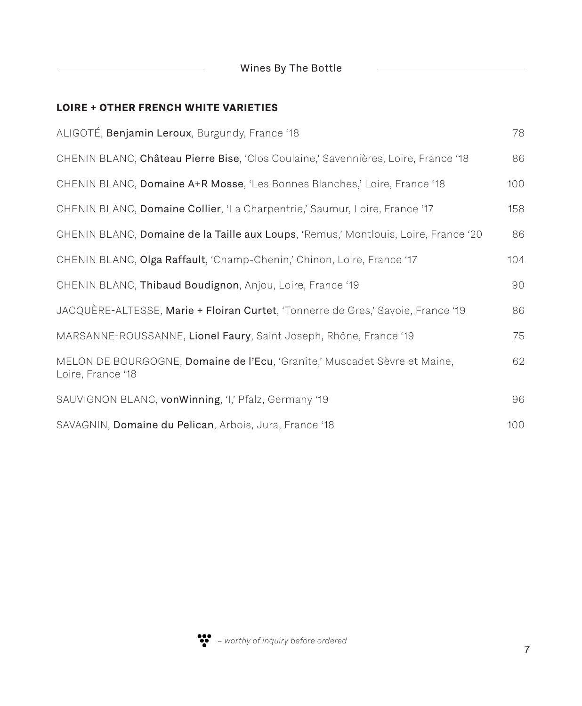Wines By The Bottle **Constant Contract Constant** 

# **LOIRE + OTHER FRENCH WHITE VARIETIES**

| ALIGOTÉ, Benjamin Leroux, Burgundy, France '18                                                 | 78  |
|------------------------------------------------------------------------------------------------|-----|
| CHENIN BLANC, Château Pierre Bise, 'Clos Coulaine,' Savennières, Loire, France '18             | 86  |
| CHENIN BLANC, Domaine A+R Mosse, 'Les Bonnes Blanches,' Loire, France '18                      | 100 |
| CHENIN BLANC, Domaine Collier, 'La Charpentrie,' Saumur, Loire, France '17                     | 158 |
| CHENIN BLANC, Domaine de la Taille aux Loups, 'Remus,' Montlouis, Loire, France '20            | 86  |
| CHENIN BLANC, Olga Raffault, 'Champ-Chenin,' Chinon, Loire, France '17                         | 104 |
| CHENIN BLANC, Thibaud Boudignon, Anjou, Loire, France '19                                      | 90  |
| JACQUÈRE-ALTESSE, Marie + Floiran Curtet, 'Tonnerre de Gres,' Savoie, France '19               | 86  |
| MARSANNE-ROUSSANNE, Lionel Faury, Saint Joseph, Rhône, France '19                              | 75  |
| MELON DE BOURGOGNE, Domaine de l'Ecu, 'Granite,' Muscadet Sèvre et Maine,<br>Loire, France '18 | 62  |
| SAUVIGNON BLANC, vonWinning, 'I,' Pfalz, Germany '19                                           | 96  |
| SAVAGNIN, Domaine du Pelican, Arbois, Jura, France '18                                         | 100 |

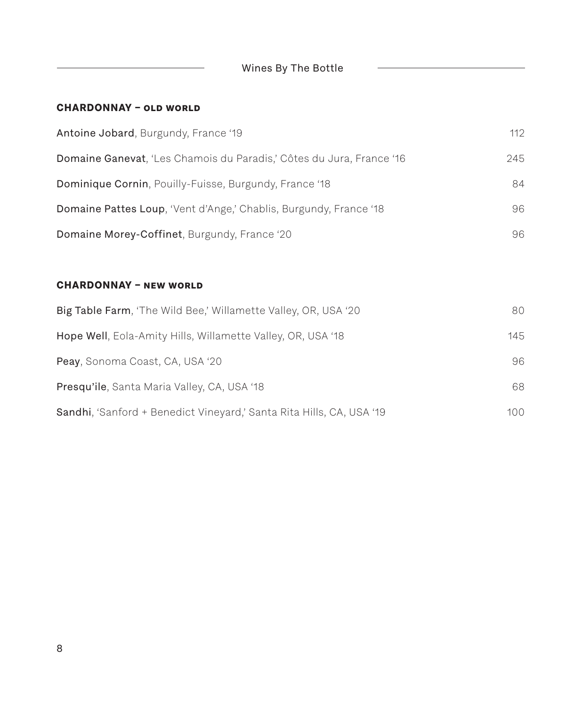#### **CHARDONNAY – old world**

<u> 1980 - Johann Barn, mars an t-Amerikaansk ferskeider (</u>

| Antoine Jobard, Burgundy, France '19                                                                                                             | 112    |
|--------------------------------------------------------------------------------------------------------------------------------------------------|--------|
| Domaine Ganevat, 'Les Chamois du Paradis,' Côtes du Jura, France '16                                                                             | 245    |
| Dominique Cornin, Pouilly-Fuisse, Burgundy, France '18                                                                                           | 84     |
| Domaine Pattes Loup, 'Vent d'Ange,' Chablis, Burgundy, France '18                                                                                | 96     |
| Domaine Morey-Coffinet, Burgundy, France '20                                                                                                     | 96     |
|                                                                                                                                                  |        |
| <b>CHARDONNAY - NEW WORLD</b>                                                                                                                    |        |
| $\mathsf{D}$ :- $\mathsf{T}$ -kis $\mathsf{L}$ - $\mathsf{L}$ -sexted Wild $\mathsf{D}$ -sexted Wilders $\mathsf{D}$ in the mass of $\mathsf{D}$ | $\cap$ |

| <b>Big Table Farm, 'The Wild Bee,' Willamette Valley, OR, USA '20</b>        | 80   |
|------------------------------------------------------------------------------|------|
| <b>Hope Well, Eola-Amity Hills, Willamette Valley, OR, USA '18</b>           | 145  |
| <b>Peay, Sonoma Coast, CA, USA '20</b>                                       | 96.  |
| <b>Presqu'ile, Santa Maria Valley, CA, USA '18</b>                           | 68   |
| <b>Sandhi</b> , 'Sanford + Benedict Vineyard,' Santa Rita Hills, CA, USA '19 | 100. |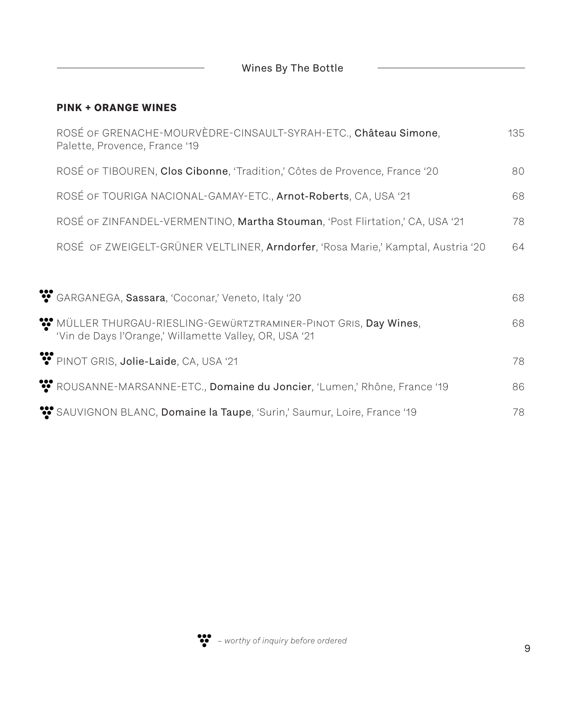$\overline{\phantom{0}}$ 

## **PINK + ORANGE WINES**

| ROSÉ OF GRENACHE-MOURVÈDRE-CINSAULT-SYRAH-ETC., Château Simone,<br>Palette, Provence, France '19                         | 135 |
|--------------------------------------------------------------------------------------------------------------------------|-----|
| ROSÉ OF TIBOUREN, Clos Cibonne, 'Tradition,' Côtes de Provence, France '20                                               | 80  |
| ROSÉ OF TOURIGA NACIONAL-GAMAY-ETC., Arnot-Roberts, CA, USA '21                                                          | 68  |
| ROSÉ OF ZINFANDEL-VERMENTINO, Martha Stouman, 'Post Flirtation,' CA, USA '21                                             | 78  |
| ROSÉ OF ZWEIGELT-GRÜNER VELTLINER, Arndorfer, 'Rosa Marie,' Kamptal, Austria '20                                         | 64  |
|                                                                                                                          |     |
| GARGANEGA, Sassara, 'Coconar,' Veneto, Italy '20                                                                         | 68  |
| WULLER THURGAU-RIESLING-GEWÜRTZTRAMINER-PINOT GRIS, Day Wines,<br>'Vin de Days l'Orange,' Willamette Valley, OR, USA '21 | 68  |
| PINOT GRIS, Jolie-Laide, CA, USA '21                                                                                     | 78  |
| ROUSANNE-MARSANNE-ETC., Domaine du Joncier, 'Lumen,' Rhône, France '19                                                   | 86  |
| SAUVIGNON BLANC, Domaine la Taupe, 'Surin,' Saumur, Loire, France '19                                                    | 78  |

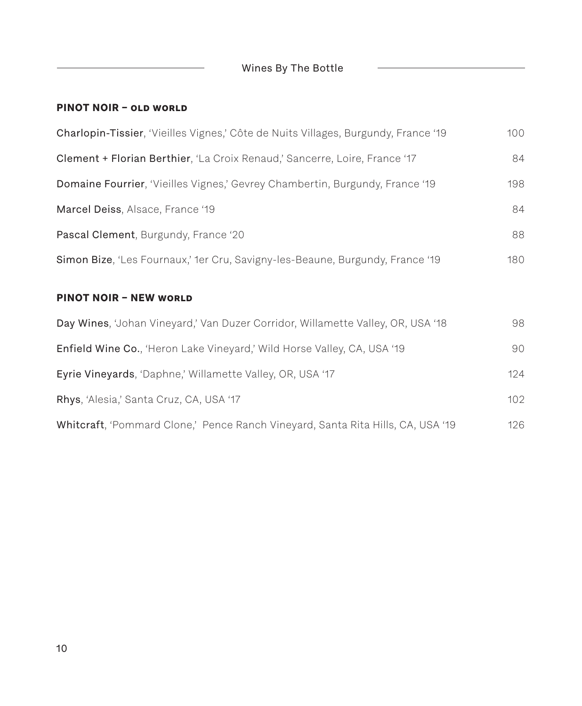#### **PINOT NOIR – old world**

| Charlopin-Tissier, 'Vieilles Vignes,' Côte de Nuits Villages, Burgundy, France '19   | 100 |
|--------------------------------------------------------------------------------------|-----|
| Clement + Florian Berthier, 'La Croix Renaud,' Sancerre, Loire, France '17           | 84  |
| <b>Domaine Fourrier</b> , 'Vieilles Vignes,' Gevrey Chambertin, Burgundy, France '19 | 198 |
| Marcel Deiss, Alsace, France '19                                                     | 84  |
| Pascal Clement, Burgundy, France '20                                                 | 88  |
| Simon Bize, 'Les Fournaux,' 1er Cru, Savigny-les-Beaune, Burgundy, France '19        | 180 |

#### **PINOT NOIR – NEW world**

| Day Wines, 'Johan Vineyard,' Van Duzer Corridor, Willamette Valley, OR, USA '18 | 98   |
|---------------------------------------------------------------------------------|------|
| Enfield Wine Co., 'Heron Lake Vineyard,' Wild Horse Valley, CA, USA '19         | 90.  |
| Eyrie Vineyards, 'Daphne,' Willamette Valley, OR, USA '17                       | 124  |
| Rhys, 'Alesia,' Santa Cruz, CA, USA '17                                         | 102  |
| Whitcraft, 'Pommard Clone,' Pence Ranch Vineyard, Santa Rita Hills, CA, USA '19 | 126. |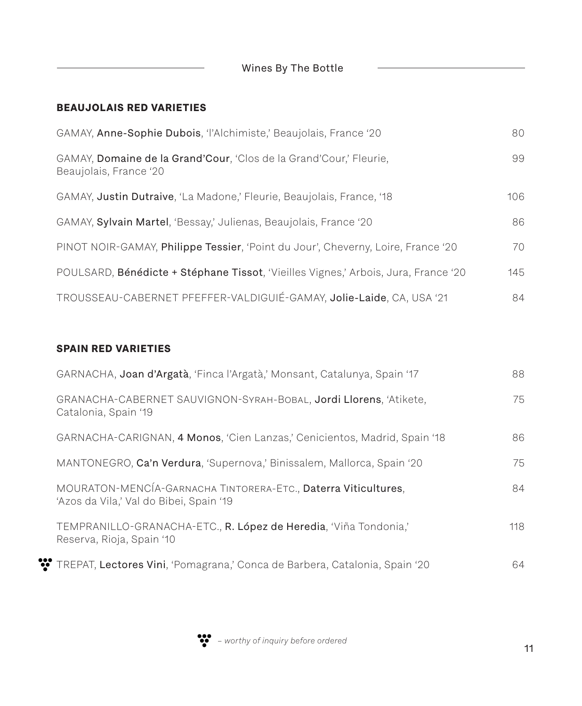$\overline{\phantom{a}}$ 

## **BEAUJOLAIS RED VARIETIES**

| GAMAY, Anne-Sophie Dubois, 'l'Alchimiste,' Beaujolais, France '20                            | 80   |
|----------------------------------------------------------------------------------------------|------|
| GAMAY, Domaine de la Grand'Cour, 'Clos de la Grand'Cour,' Fleurie,<br>Beaujolais, France '20 | 99   |
| GAMAY, Justin Dutraive, 'La Madone,' Fleurie, Beaujolais, France, '18                        | 106. |
| GAMAY, Sylvain Martel, 'Bessay,' Julienas, Beaujolais, France '20                            | 86   |
| PINOT NOIR-GAMAY, Philippe Tessier, 'Point du Jour', Cheverny, Loire, France '20             | 70   |
| POULSARD, Bénédicte + Stéphane Tissot, 'Vieilles Vignes,' Arbois, Jura, France '20           | 145  |
| TROUSSEAU-CABERNET PFEFFER-VALDIGUIÉ-GAMAY, Jolie-Laide, CA, USA '21                         | 84   |

#### **SPAIN RED VARIETIES**

| GARNACHA, Joan d'Argatà, 'Finca l'Argatà,' Monsant, Catalunya, Spain '17                                  | 88  |
|-----------------------------------------------------------------------------------------------------------|-----|
| GRANACHA-CABERNET SAUVIGNON-SYRAH-BOBAL, Jordi Llorens, 'Atikete,<br>Catalonia, Spain '19                 | 75  |
| GARNACHA-CARIGNAN, 4 Monos, 'Cien Lanzas,' Cenicientos, Madrid, Spain '18                                 | 86  |
| MANTONEGRO, Ca'n Verdura, 'Supernova,' Binissalem, Mallorca, Spain '20                                    | 75  |
| MOURATON-MENCÍA-GARNACHA TINTORERA-ETC., Daterra Viticultures,<br>'Azos da Vila,' Val do Bibei, Spain '19 | 84  |
| TEMPRANILLO-GRANACHA-ETC., R. López de Heredia, 'Viña Tondonia,'<br>Reserva, Rioja, Spain '10             | 118 |
| TREPAT, Lectores Vini, 'Pomagrana,' Conca de Barbera, Catalonia, Spain '20                                | 64. |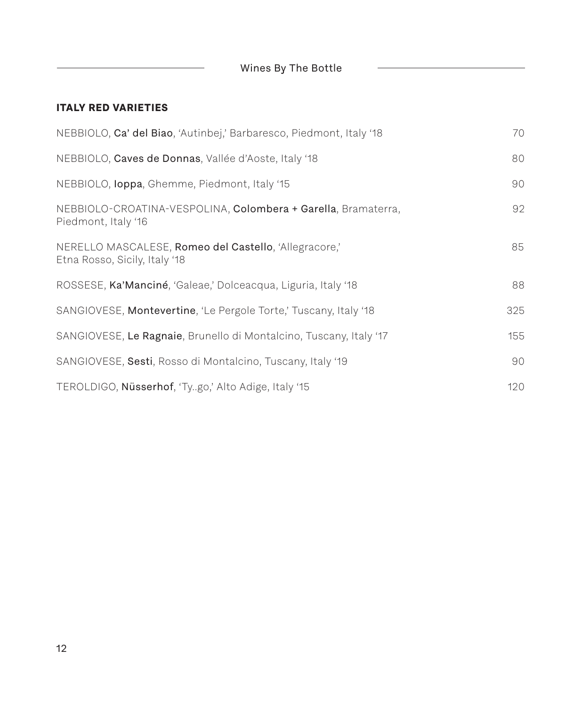## **ITALY RED VARIETIES**

<u> 1980 - Johann Barn, amerikansk politiker (</u>

| NEBBIOLO, Ca' del Biao, 'Autinbej,' Barbaresco, Piedmont, Italy '18                    | 70  |
|----------------------------------------------------------------------------------------|-----|
| NEBBIOLO, Caves de Donnas, Vallée d'Aoste, Italy '18                                   | 80  |
| NEBBIOLO, <b>Ioppa</b> , Ghemme, Piedmont, Italy '15                                   | 90  |
| NEBBIOLO-CROATINA-VESPOLINA, Colombera + Garella, Bramaterra,<br>Piedmont, Italy '16   | 92  |
| NERELLO MASCALESE, Romeo del Castello, 'Allegracore,'<br>Etna Rosso, Sicily, Italy '18 | 85  |
| ROSSESE, Ka'Manciné, 'Galeae,' Dolceacqua, Liguria, Italy '18                          | 88  |
| SANGIOVESE, Montevertine, 'Le Pergole Torte,' Tuscany, Italy '18                       | 325 |
| SANGIOVESE, Le Ragnaie, Brunello di Montalcino, Tuscany, Italy '17                     | 155 |
| SANGIOVESE, Sesti, Rosso di Montalcino, Tuscany, Italy '19                             | 90  |
| TEROLDIGO, Nüsserhof, 'Tygo,' Alto Adige, Italy '15                                    | 120 |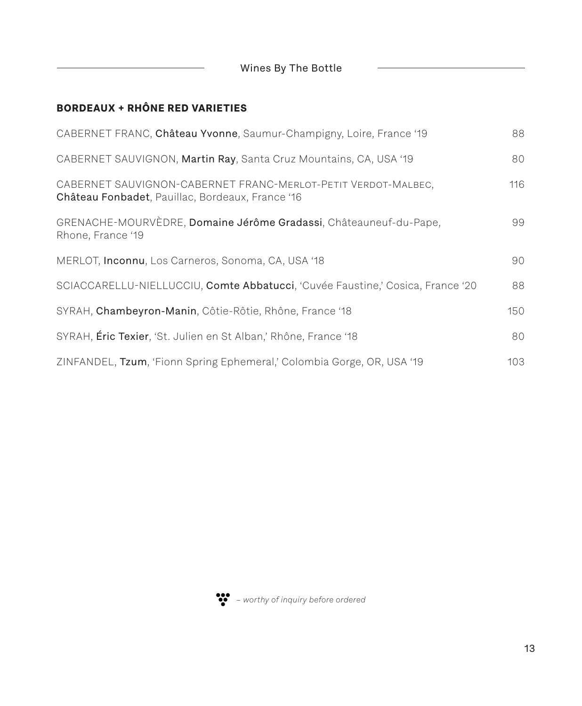# **BORDEAUX + RHÔNE RED VARIETIES**

<u> 1989 - Johann Barn, amerikansk politiker (</u>

| CABERNET FRANC, Château Yvonne, Saumur-Champigny, Loire, France '19                                               | 88   |
|-------------------------------------------------------------------------------------------------------------------|------|
| CABERNET SAUVIGNON, Martin Ray, Santa Cruz Mountains, CA, USA '19                                                 | 80   |
| CABERNET SAUVIGNON-CABERNET FRANC-MERLOT-PETIT VERDOT-MALBEC,<br>Château Fonbadet, Pauillac, Bordeaux, France '16 | 116  |
| GRENACHE-MOURVÈDRE, Domaine Jérôme Gradassi, Châteauneuf-du-Pape,<br>Rhone, France '19                            | 99   |
| MERLOT, <b>Inconnu</b> , Los Carneros, Sonoma, CA, USA '18                                                        | 90   |
| SCIACCARELLU-NIELLUCCIU, Comte Abbatucci, 'Cuvée Faustine,' Cosica, France '20                                    | 88   |
| SYRAH, Chambeyron-Manin, Côtie-Rôtie, Rhône, France '18                                                           | 150  |
| SYRAH, Éric Texier, 'St. Julien en St Alban,' Rhône, France '18                                                   | 80   |
| ZINFANDEL, Tzum, 'Fionn Spring Ephemeral,' Colombia Gorge, OR, USA '19                                            | 103. |



*– worthy of inquiry before ordered*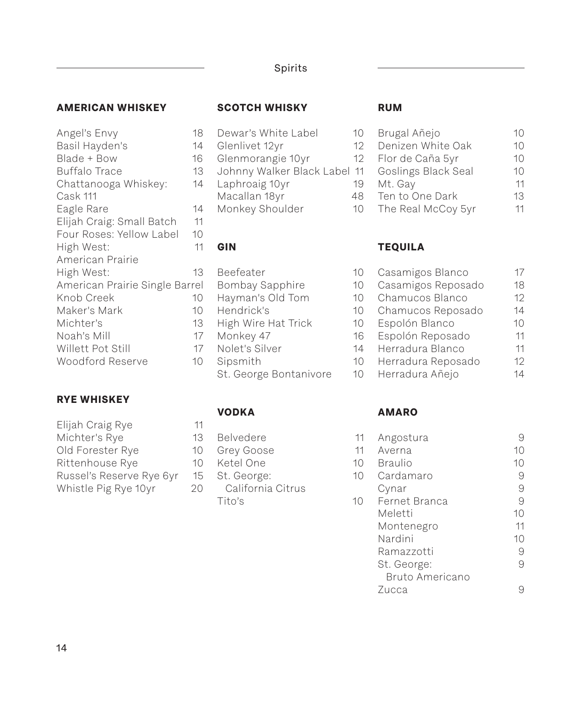#### Spirits

#### **AMERICAN WHISKEY SCOTCH WHISKY**

| Angel's Envy                   | 18 |
|--------------------------------|----|
| Basil Hayden's                 | 14 |
| Blade + Bow                    | 16 |
| Buffalo Trace                  | 13 |
| Chattanooga Whiskey:           | 14 |
| Cask 111                       |    |
| Eagle Rare                     | 14 |
| Elijah Craig: Small Batch      | 11 |
| Four Roses: Yellow Label       | 10 |
| High West:                     | 11 |
| American Prairie               |    |
| High West:                     | 13 |
| American Prairie Single Barrel |    |
| Knob Creek                     | 10 |
| Maker's Mark                   | 10 |
| Michter's                      | 13 |
| Noah's Mill                    | 17 |
| Willett Pot Still              | 17 |
| Woodford Reserve               | 10 |

#### **RYE WHISKEY**

| Elijah Craig Rye         | 11 |
|--------------------------|----|
| Michter's Rye            | 13 |
| Old Forester Rye         | 10 |
| Rittenhouse Rye          | 10 |
| Russel's Reserve Rye 6yr | 15 |
| Whistle Pig Rye 10yr     | 20 |

| R | Dewar's White Label       | 10 |
|---|---------------------------|----|
| 4 | Glenlivet 12yr            | 12 |
| Б | Glenmorangie 10yr         | 12 |
| З | Johnny Walker Black Label | 11 |
| 4 | Laphroaig 10yr            | 19 |
|   | Macallan 18yr             | 48 |
| 4 | Monkey Shoulder           | 10 |
|   |                           |    |

#### **GIN**

 $\overline{\phantom{a}}$ 

| Beefeater              | 10               |
|------------------------|------------------|
| <b>Bombay Sapphire</b> | 10               |
| Hayman's Old Tom       | 10               |
| Hendrick's             | 10               |
| High Wire Hat Trick    | 10               |
| Monkey 47              | 16               |
| Nolet's Silver         | 14               |
| Sipsmith               | 10               |
| St. George Bontanivore | $\left( \right)$ |

#### **VODKA**

| Belvedere         | 11  |
|-------------------|-----|
| Grey Goose        | 11  |
| Ketel One         | 1() |
| St. George:       |     |
| California Citrus |     |
| Tito's            |     |
|                   |     |

#### **RUM**

| Brugal Añejo        | 10 |
|---------------------|----|
| Denizen White Oak   | 10 |
| Flor de Caña 5yr    | 10 |
| Goslings Black Seal | 10 |
| Mt. Gay             | 11 |
| Ten to One Dark     | 13 |
| The Real McCoy 5yr  | 11 |

#### **TEQUILA**

| $\Omega$       | Casamigos Blanco   | 17 |
|----------------|--------------------|----|
| $\Omega$       | Casamigos Reposado | 18 |
| $\bigcap$      | Chamucos Blanco    | 12 |
| $\Omega$       | Chamucos Reposado  | 14 |
| $\bigcap$      | Espolón Blanco     | 10 |
| 6              | Espolón Reposado   | 11 |
| $\overline{4}$ | Herradura Blanco   | 11 |
| $\bigcap$      | Herradura Reposado | 12 |
|                | Herradura Añejo    | 14 |

#### **AMARO**

| 11 | Angostura       |    |
|----|-----------------|----|
| 11 | Averna          | 10 |
| IO | Braulio         | 10 |
| ١O | Cardamaro       | 9  |
|    | Cynar           | 9  |
|    | Fernet Branca   | 9  |
|    | Meletti         | 10 |
|    | Montenegro      | 11 |
|    | Nardini         | 10 |
|    | Ramazzotti      | 9  |
|    | St. George:     | 9  |
|    | Bruto Americano |    |
|    | Zucca           |    |
|    |                 |    |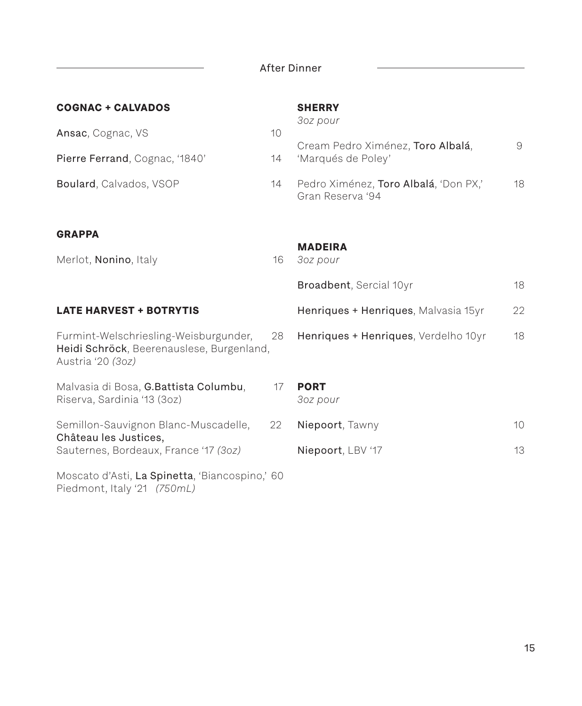After Dinner

ц.

| <b>COGNAC + CALVADOS</b>                                                                                      | <b>SHERRY</b><br>3oz pour |                                                           |    |
|---------------------------------------------------------------------------------------------------------------|---------------------------|-----------------------------------------------------------|----|
| Ansac, Cognac, VS                                                                                             |                           |                                                           |    |
| Pierre Ferrand, Cognac, '1840'                                                                                |                           | Cream Pedro Ximénez, Toro Albalá,<br>'Marqués de Poley'   | 9  |
| Boulard, Calvados, VSOP                                                                                       | 14                        | Pedro Ximénez, Toro Albalá, 'Don PX,'<br>Gran Reserva '94 | 18 |
| <b>GRAPPA</b>                                                                                                 |                           |                                                           |    |
| Merlot, Nonino, Italy                                                                                         | 16                        | <b>MADEIRA</b><br>3oz pour                                |    |
|                                                                                                               |                           | Broadbent, Sercial 10yr                                   | 18 |
| <b>LATE HARVEST + BOTRYTIS</b>                                                                                |                           | Henriques + Henriques, Malvasia 15yr                      | 22 |
| Furmint-Welschriesling-Weisburgunder,<br>28<br>Heidi Schröck, Beerenauslese, Burgenland,<br>Austria '20 (3oz) |                           | Henriques + Henriques, Verdelho 10yr                      | 18 |
| Malvasia di Bosa, G.Battista Columbu,<br>Riserva, Sardinia '13 (3oz)                                          | 17                        | <b>PORT</b><br>3oz pour                                   |    |
| Semillon-Sauvignon Blanc-Muscadelle,<br>Château les Justices,                                                 | 22                        | Niepoort, Tawny                                           | 10 |
| Sauternes, Bordeaux, France '17 (3oz)                                                                         |                           | Niepoort, LBV '17                                         | 13 |
| Moscato d'Asti, La Spinetta, 'Biancospino,' 60                                                                |                           |                                                           |    |

Piedmont, Italy '21 *(750mL)*